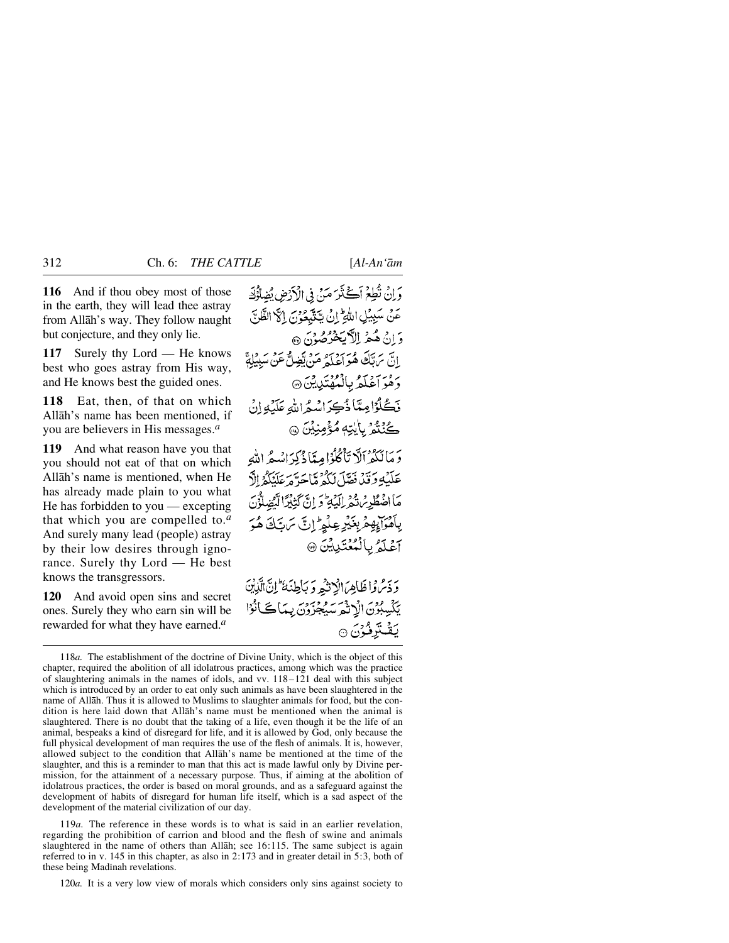**116** And if thou obey most of those in the earth, they will lead thee astray from Allåh's way. They follow naught but conjecture, and they only lie.

**117** Surely thy Lord — He knows best who goes astray from His way, and He knows best the guided ones.

**118** Eat, then, of that on which Allåh's name has been mentioned, if you are believers in His messages.*<sup>a</sup>*

**119** And what reason have you that you should not eat of that on which Allåh's name is mentioned, when He has already made plain to you what He has forbidden to you — excepting that which you are compelled to.*<sup>a</sup>* And surely many lead (people) astray by their low desires through ignorance. Surely thy Lord — He best knows the transgressors.

**120** And avoid open sins and secret ones. Surely they who earn sin will be rewarded for what they have earned.*<sup>a</sup>*

وَإِن نُطِعَ أَكَثَرَ مَنْ فِي الْأَرْضِ يُضِلُّؤُكَ عَنْ سَبِيْلِ اللَّهِ ۚ إِنْ يَتَتَّبِعُونَ إِنَّ الظَّلِّ وَ إِنْ هُيمْهِ إِلاَّ بِخَرْصُوْنَ ۞ اس سرّ قبّ هُنه وسروسه من تعبد الله .<br>ابن سرآية هُواعلهُ عَنْ تعبيلٌ عَنِ سببهِ رَهُوَ آَعَلَمُ بِالْمُهْتَدِينِينَ۞ نَكُرُّامِيَّا ذُكِرَاسُهُ اللهِ عَلَيْهِ إِنْ ڪُنُنگُو<sup>ر</sup> بِأَيْتِهِ مُؤْمِنِيْنَ ۞ بِرَ الْكَفَرْالَّا تَأْكُلُوْا مِيثَاذُكِرَانْيِيڤِراللَّهِ عَلَيْهِ وَقَدْ فَقَلْ لَكُمْ مَّاحَرَّهُ عَلَيْكُمُ إِلَّا مَااضْطُرِيْنَ ثُيْرِ البَّهِ وَ إِنَّ كَثِيْرًا لَّيُضِلُّوُنَ بِٱهْرَابِهِمْ بِغَيْرِ عِلْمِ ۗ إِنَّ سَ تَكَ هُوَ آغَلَمُ بِالْمُعْتَدِيِّنَ @ وَذَمَّ وَاظَاهِرَ الْإِنْثَمِ وَبَاطِنَهُ ۖ إِنَّ الَّذِبْنَ يَكْسِبُوْنَ الْإِنْهُمَ سَيُجْزَوْنَ بِيَا كَانُوْا يَقۡتَرِفُوۡنَ ۞

119*a.* The reference in these words is to what is said in an earlier revelation, regarding the prohibition of carrion and blood and the flesh of swine and animals slaughtered in the name of others than Allåh; see 16:115. The same subject is again referred to in v. 145 in this chapter, as also in 2:173 and in greater detail in 5:3, both of these being Madinah revelations.

120*a.* It is a very low view of morals which considers only sins against society to

<sup>118</sup>*a.* The establishment of the doctrine of Divine Unity, which is the object of this chapter, required the abolition of all idolatrous practices, among which was the practice of slaughtering animals in the names of idols, and vv. 118–121 deal with this subject which is introduced by an order to eat only such animals as have been slaughtered in the name of Allåh. Thus it is allowed to Muslims to slaughter animals for food, but the condition is here laid down that Allåh's name must be mentioned when the animal is slaughtered. There is no doubt that the taking of a life, even though it be the life of an animal, bespeaks a kind of disregard for life, and it is allowed by God, only because the full physical development of man requires the use of the flesh of animals. It is, however, allowed subject to the condition that Allåh's name be mentioned at the time of the slaughter, and this is a reminder to man that this act is made lawful only by Divine permission, for the attainment of a necessary purpose. Thus, if aiming at the abolition of idolatrous practices, the order is based on moral grounds, and as a safeguard against the development of habits of disregard for human life itself, which is a sad aspect of the development of the material civilization of our day.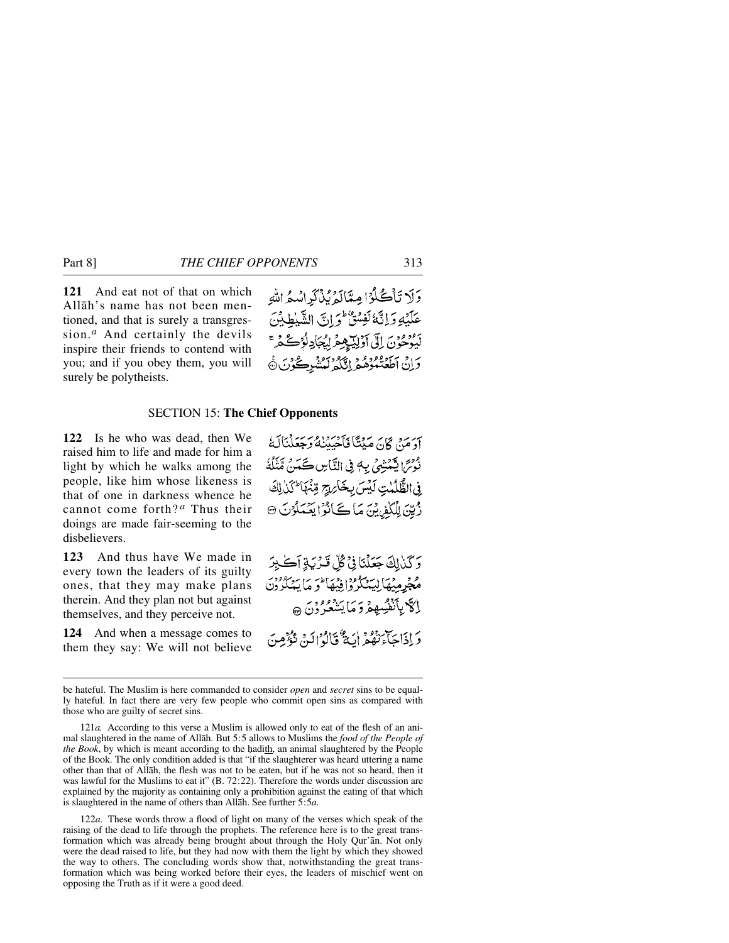**121** And eat not of that on which Allåh's name has not been mentioned, and that is surely a transgression.*<sup>a</sup>* And certainly the devils inspire their friends to contend with you; and if you obey them, you will surely be polytheists.

وَلَا تَأْكُلُوْا مِعَالَهُ بُذْكَرِ اسْعُ اللَّهِ عَلَيْهِ وَإِنَّهُ لَفِسْقٌ وَإِنَّ الشَّيْطِيْنَ أَبْدَّهُمْ فَنَ إِلَى أَوْلِيَّةٍ هِمْرِ لِيُجَادِلُوْكُ دَانْ اَطْعَنْمُوْهُمْ إِنَّكُمْ لَمُتَنْبِرِكُوْنَ ۞

## SECTION 15: **The Chief Opponents**

**122** Is he who was dead, then We raised him to life and made for him a light by which he walks among the people, like him whose likeness is that of one in darkness whence he cannot come forth? *<sup>a</sup>* Thus their doings are made fair-seeming to the disbelievers.

**123** And thus have We made in every town the leaders of its guilty ones, that they may make plans therein. And they plan not but against themselves, and they perceive not.

**124** And when a message comes to them they say: We will not believe

أَوَمَنْ كَانَ مَيْتًا فَأَحْيَيْنَهُ وَجَعَلْنَالَهُ نُوْسً ايْتَمْتِيْنِي بِ4 فِي التَّاسِ كَمَنْ مِّنْنَكُمْ فِى الظَّلَّمْتِ لَيْسَ بِخَارِيجِ قِنْهَا كَذَٰ لِكَ رُّيِّيَ لِلْكُفِينِيَّ مَا ڪَأَنُوُ ايَعْمَلُوْنَ ۞

وَكَنْ لِكَ جَعَلْنَا فِيْ كُلِّ قَدْرَبَةِ آَكَيْتَرَ مُجْرِمِيْهَالِيَهْكُرُواْفِيْهَا فَوَ مَا يَهْكُرُوْنَ إِكَّا بِأَنْفُسِهِمْ وَ مَا يَشْعُرُونَ ۞ وَإِذَاجَنَّ نَقُمْ أَيَةٌ قَالَوْ إِلَيْهِ، تَوْفُومِنَ

122*a.* These words throw a flood of light on many of the verses which speak of the raising of the dead to life through the prophets. The reference here is to the great transformation which was already being brought about through the Holy Qur'ån. Not only were the dead raised to life, but they had now with them the light by which they showed the way to others. The concluding words show that, notwithstanding the great transformation which was being worked before their eyes, the leaders of mischief went on opposing the Truth as if it were a good deed.

be hateful. The Muslim is here commanded to consider *open* and *secret* sins to be equally hateful. In fact there are very few people who commit open sins as compared with those who are guilty of secret sins.

<sup>121</sup>*a.* According to this verse a Muslim is allowed only to eat of the flesh of an animal slaughtered in the name of Allåh. But 5:5 allows to Muslims the *food of the People of the Book*, by which is meant according to the hadith, an animal slaughtered by the People of the Book. The only condition added is that "if the slaughterer was heard uttering a name other than that of Allåh, the flesh was not to be eaten, but if he was not so heard, then it was lawful for the Muslims to eat it" (B. 72:22). Therefore the words under discussion are explained by the majority as containing only a prohibition against the eating of that which is slaughtered in the name of others than Allåh. See further 5:5*a*.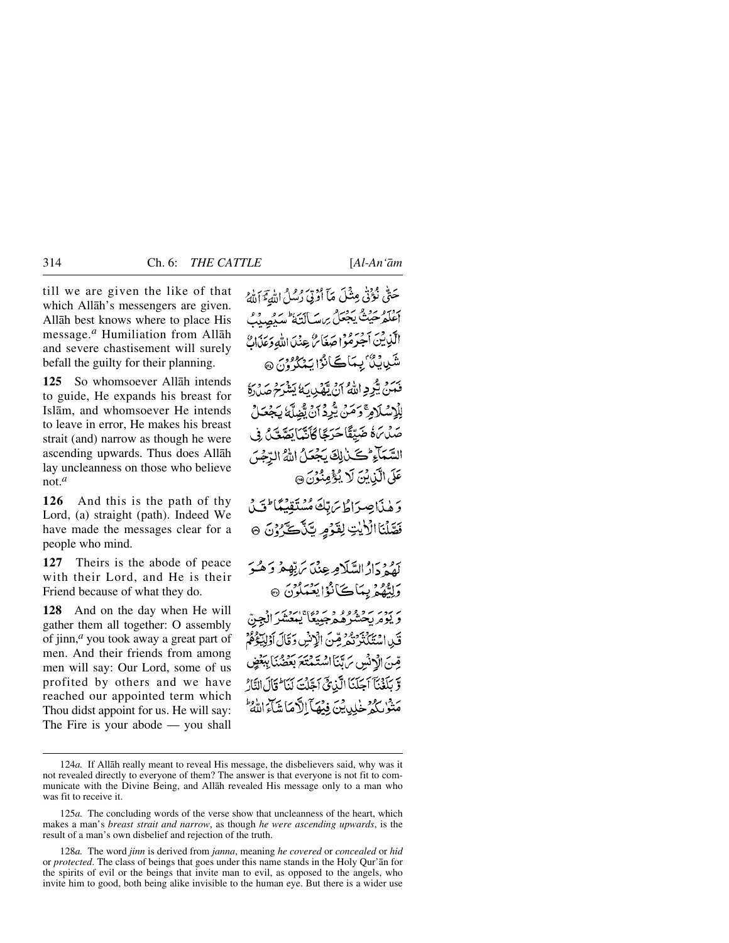till we are given the like of that which Allåh's messengers are given. Allåh best knows where to place His message.*<sup>a</sup>* Humiliation from Allåh and severe chastisement will surely befall the guilty for their planning.

**125** So whomsoever Allåh intends to guide, He expands his breast for Islåm, and whomsoever He intends to leave in error, He makes his breast strait (and) narrow as though he were ascending upwards. Thus does Allåh lay uncleanness on those who believe not.*<sup>a</sup>*

**126** And this is the path of thy Lord, (a) straight (path). Indeed We have made the messages clear for a people who mind.

**127** Theirs is the abode of peace with their Lord, and He is their Friend because of what they do.

**128** And on the day when He will gather them all together: O assembly of jinn,*<sup>a</sup>* you took away a great part of men. And their friends from among men will say: Our Lord, some of us profited by others and we have reached our appointed term which Thou didst appoint for us. He will say: The Fire is your abode — you shall

حَتَّىٰ نُؤَنَّىٰ مِثْلَ مَآ أَرْتِيَ رُسُلُ اللَّهِ ۚ آَلَٰكُ إعلم حيث يجعلُ برسكانيَّة سيُصِيبُ الكيابين أجرموا صَغَائر عِنْدَ اللّهِ وَعَذَابٍ شَرِيدِينَ بِسَاڪَانُوْا يَنْكُرُونَ @ بِهِ دِ مِنْ مِيْرِدِ اللَّهِ مِنْ يَوْرِدِ مِنْ دَمِنٍ مِنْ دَمِنٍ لِلْإِسْلَامِرَّ وَمَنْ يَبُّرِدُ أَنْ يَصْلَّهُ يَجْعَلُ صَلَّىٰ هُ ضَيِّقًا حَرَجًا كَأَنَّهَا بَصَّعْبُ فِي السَّمَآءِ كَنْ لِكَ يَجْعَلُ اللَّهُ الرَّجْسَ عَلَى الَّذِينَ لَا يُؤْمِنُونَ ۞ وَهٰذَا صِرَاطُ يَرَبِّكَ مُسْتَقِيَمًا لَّكَ فَصَّلْنَا الْأَيْتِ لِقَوْمٍ يَّذَّكَّرُوْنَ ۞ يقرد الالسّلَامِهِ عِنْدَ يَرَبَّهِمْ وَهُبُوَ وَلِيْهُمْ بِيَاكَأَنْوْا يَعْبَدُونَ ۞ ر برد برو وو و د برو» ايمن الجنّ قَلِ اسْتَكْتُرْتُمْرِ مِّنَ الْإِنْسِ دَقَالَ أَوْلِيْدَهُمْ قِسَ الْإِنْسِ مَ بَّنَا اسْتَمْتَعَ بَعْضُنَا بِبَعْضٍ وَّ بِلَغْنَآ اَجَلَنَآ الَّذِيَّ اَجَلْتَ لَنَا َ قَالَ النَّارُ مَتْوْ'بِكُمْ خْلِدِيْنَ فِيْهَآ الْأَهَاتِيَآءَ اللَّهُ ۚ

<sup>124</sup>*a.* If Allåh really meant to reveal His message, the disbelievers said, why was it not revealed directly to everyone of them? The answer is that everyone is not fit to communicate with the Divine Being, and Allåh revealed His message only to a man who was fit to receive it.

<sup>125</sup>*a.* The concluding words of the verse show that uncleanness of the heart, which makes a man's *breast strait and narrow*, as though *he were ascending upwards*, is the result of a man's own disbelief and rejection of the truth.

<sup>128</sup>*a.* The word *jinn* is derived from *janna*, meaning *he covered* or *concealed* or *hid* or *protected*. The class of beings that goes under this name stands in the Holy Qur'ån for the spirits of evil or the beings that invite man to evil, as opposed to the angels, who invite him to good, both being alike invisible to the human eye. But there is a wider use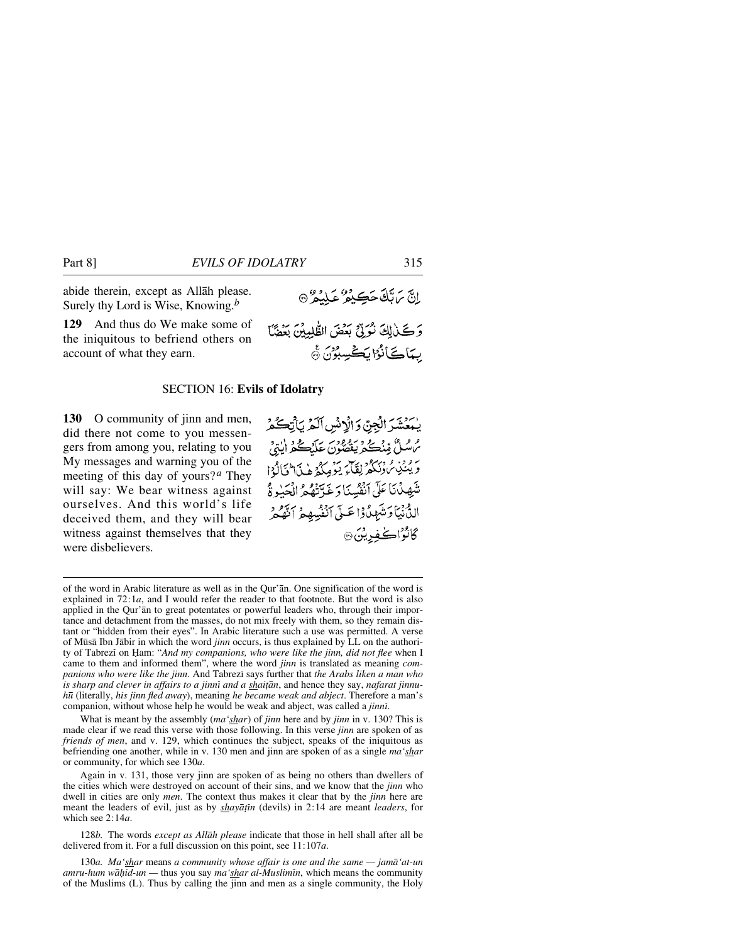abide therein, except as Allåh please. Surely thy Lord is Wise, Knowing.*<sup>b</sup>*

**129** And thus do We make some of the iniquitous to befriend others on account of what they earn.

#### SECTION 16: **Evils of Idolatry**

**130** O community of jinn and men, did there not come to you messengers from among you, relating to you My messages and warning you of the meeting of this day of yours?*<sup>a</sup>* They will say: We bear witness against ourselves. And this world's life deceived them, and they will bear witness against themselves that they were disbelievers.

يُمَعُشَرَ الْجِنّ وَالْإِنْسِ اَلَمْ يَأْتِكُمْ مُ سُلُّ مِّنْكُمْ يَقْصُونَ عَلَيْكُمُ الْذِيْ برود. وبيكر لِقَاءَ يَوْمِكُمْ هٰذَا تَالَٰهُ! شَهِدْنَا عَلَى أَنْفُسِنَا دَ غَدَّتْهُمْ الْجَبْدِ ةُ الدُّنْيَاوَ تُبْهِدُوْا عَبِيٍّ أَنْفُسِهِمْ أَنَّهُمْ گانۇاك غورتىن ھ

اِنَّ بِّ تَادَّكَتِ بِهِ مَثَلِّكُمْ عَلَيْمُ \* \*

بِيَاكَ أَنُوْا بِكَ سِبْرُوْنَ ﴾

وَكَيْرَاكَ نُوَرِّقٍ بِعَضَ الطَّٰلِمِيْنَ بَعَضَّا

What is meant by the assembly (*ma'shar*) of *jinn* here and by *jinn* in v. 130? This is made clear if we read this verse with those following. In this verse *jinn* are spoken of as *friends of men*, and v. 129, which continues the subject, speaks of the iniquitous as befriending one another, while in v. 130 men and jinn are spoken of as a single *ma'shar* or community, for which see 130*a*.

Again in v. 131, those very jinn are spoken of as being no others than dwellers of the cities which were destroyed on account of their sins, and we know that the *jinn* who dwell in cities are only *men*. The context thus makes it clear that by the *jinn* here are meant the leaders of evil, just as by *shayātīn* (devils) in 2:14 are meant *leaders*, for which see 2:14*a*.

128*b.* The words *except as Allåh please* indicate that those in hell shall after all be delivered from it. For a full discussion on this point, see 11:107*a*.

130*a. Ma'shar* means *a community whose affair is one and the same — jamå'at-un amru-hum wāḥid-un* — thus you say *ma* '*shar al-Muslimīn*, which means the community of the Muslims (L). Thus by calling the jinn and men as a single community, the Holy

of the word in Arabic literature as well as in the Qur'ån. One signification of the word is explained in 72:1*a*, and I would refer the reader to that footnote. But the word is also applied in the Qur'ån to great potentates or powerful leaders who, through their importance and detachment from the masses, do not mix freely with them, so they remain distant or "hidden from their eyes". In Arabic literature such a use was permitted. A verse of M∂så Ibn Jåbir in which the word *jinn* occurs, is thus explained by LL on the authority of Tabrezi on Ham: "And my companions, who were like the jinn, did not flee when I came to them and informed them", where the word *jinn* is translated as meaning *companions who were like the jinn.* And Tabrezi says further that *the Arabs liken a man who is sharp and clever in affairs to a jinni and a shaițān*, and hence they say, nafarat jinnu*h∂* (literally, *his jinn fled away*), meaning *he became weak and abject*. Therefore a man's companion, without whose help he would be weak and abject, was called a *jinnß*.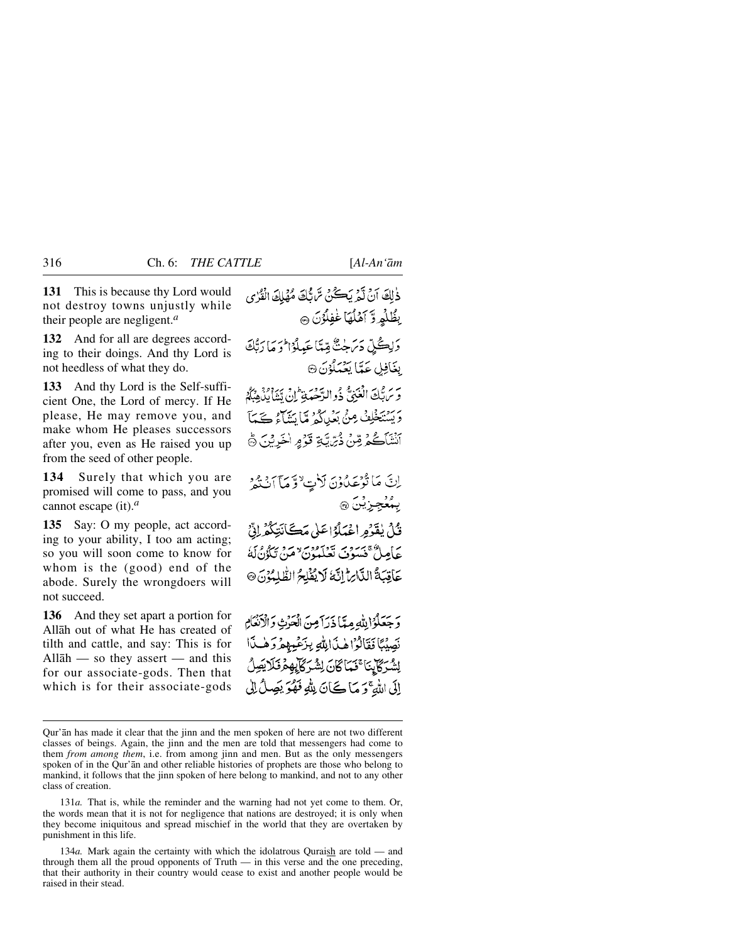**131** This is because thy Lord would not destroy towns unjustly while their people are negligent.*<sup>a</sup>*

**132** And for all are degrees according to their doings. And thy Lord is not heedless of what they do.

**133** And thy Lord is the Self-sufficient One, the Lord of mercy. If He please, He may remove you, and make whom He pleases successors after you, even as He raised you up from the seed of other people.

**134** Surely that which you are promised will come to pass, and you cannot escape (it).*<sup>a</sup>*

**135** Say: O my people, act according to your ability, I too am acting; so you will soon come to know for whom is the (good) end of the abode. Surely the wrongdoers will not succeed.

**136** And they set apart a portion for Allåh out of what He has created of tilth and cattle, and say: This is for Allåh — so they assert — and this for our associate-gods. Then that which is for their associate-gods

دٰلِكَ أَنْ تَمْمَ يَڪُنْ سَ ثَلِكَ مُهْلِكَ الْقُرْبِي بِظُلْمٍ وَّ آهُلُهَا غُفِلُوْنَ ۞ دَلِكُلِّ دَيْنِجْنَّ مِّيَّا عَبِيلُوْا فَرَمَا رَبُّكَ بغَافِلِ عَدَّا يَعْبَلُوْنَ ۞ يَّ سَرِيْحَاتِ الْعَبْنِيُّ جُو السَّجْعَبِيْتِ إِنْ تَبْنَا بِلْدِهِيَّةِ.<br>وَيَرَبَّبُكَ الْعَبْنَي خُو البَّجْعِيَّةِ إِنْ تَبَنَا بِلْدِهِيَّةِ. وَيَسْتَخْلِفُ مِنْ بَعْيِدِكُمْ مِّا يَتَنَاءُ كَيْمَاً أَنْشَأَكُمْ قِنْ ذُبِّيَّةٍ قَوْمٍ اخْرِيْنَ ﴾

إِنَّ مَا تُوْعَدُونَ لِأَتِ لَا وَمَا اَنْتَمْ بِمُعۡجِزِيۡنَ ۞

قُلُ بِغَدْهِ اعْبَلُهُ اعَلَىٰ مَڪَأَنَتِكُمْ إِنِّي عَامِلٌ مَسَوْفٍ يَبْنِهِ مِنْ مَنْ يَكُونُ لَهُ عَاقِبَةُ الدَّارِ إِنَّهُ لَا يُؤْلِحُ الظَّلِمُوْنَ ۞

وَجَعَلُوۡۗ إِللَّهِ مِيَّا ذَرَآ مِنَ الْعَرْثِ وَالْأَنْعَامِ نَصِيْبًا فَقَالُوْاهِ فَالِلَّهِ بِزَعْيِهِمْ وَهْبَاًا لِشُرَكَابِنَا ۚ نَبَاكَانَ لِشُرَكَابِهِمْ نَلَايَصِلُ إِلَى اللَّهِ ۚ وَ مَا كَانَ لِلَّهِ فَهُوَ بَصِلٌ إِلَى

131*a.* That is, while the reminder and the warning had not yet come to them. Or, the words mean that it is not for negligence that nations are destroyed; it is only when they become iniquitous and spread mischief in the world that they are overtaken by punishment in this life.

134*a.* Mark again the certainty with which the idolatrous Quraish are told — and through them all the proud opponents of  $Truth$  — in this verse and the one preceding, that their authority in their country would cease to exist and another people would be raised in their stead.

Qur'ån has made it clear that the jinn and the men spoken of here are not two different classes of beings. Again, the jinn and the men are told that messengers had come to them *from among them*, i.e. from among jinn and men. But as the only messengers spoken of in the Qur'ån and other reliable histories of prophets are those who belong to mankind, it follows that the jinn spoken of here belong to mankind, and not to any other class of creation.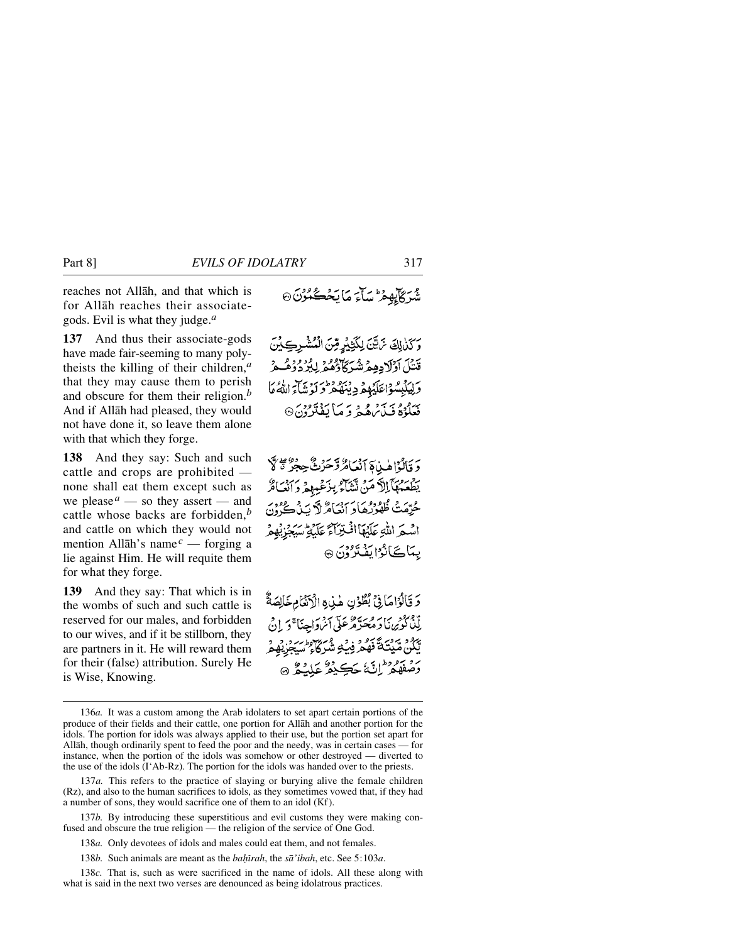reaches not Allåh, and that which is for Allåh reaches their associategods. Evil is what they judge.*<sup>a</sup>*

**137** And thus their associate-gods have made fair-seeming to many polytheists the killing of their children,*<sup>a</sup>* that they may cause them to perish and obscure for them their religion.*<sup>b</sup>* And if Allåh had pleased, they would not have done it, so leave them alone with that which they forge.

**138** And they say: Such and such cattle and crops are prohibited none shall eat them except such as we please  $^a$  — so they assert — and cattle whose backs are forbidden,*<sup>b</sup>* and cattle on which they would not mention Allåh's name*<sup>c</sup>* — forging a lie against Him. He will requite them for what they forge.

**139** And they say: That which is in the wombs of such and such cattle is reserved for our males, and forbidden to our wives, and if it be stillborn, they are partners in it. He will reward them for their (false) attribution. Surely He is Wise, Knowing.

م بچ مان مائە ئىگەن.<br>شىركايھۇ ئىباء مائە ئىگەن

وَكَذٰلِكَ يَاتَيْنَ لِكَثِيْرٍ مِّنَ الْمُشْرِكِيْنَ قَتْلَ أَوْلَادِهِمْ شُرَكَاؤُهُمْ لِلْزِدُوُوْهُ عِرْ وَلِيَكْبِسُوۡاعَلَيۡهِمۡ دِيۡنَهُمۡ وَلَوۡسَآءَ اللَّهُۚ مَا بَعَدُوْهُ فَيَأْتُرُهُ ثُمَّ وَ مَيْا يَفْتَرُونَ۞

وَقَالُوْاهِ بِيَامَ آنْعَاهُ وَّحَرْثٌ حِجْرٌ ةٌ لَا بِظَعَمْهَآ اِلْاَ مَنْ تَتَنَاْمُ بِزَعْبِهِمْ دَانَعَامٌ حُرِّمَتْ ظُهْرُدُهَادَ أَنْعَامٌ لَا سَنْ كُےُونِ اشعَرَ اللَّهِ عَلَيْهَا أَفْتِرَاءً عَلَيْهِ سَيْفِرْ. بِيَاڪَانُوْا بِقِيْرُوْنَ ۞

دَ تَأْلُوْاهَا فِيْ بُطُوْنِ هٰذِهِ الْأَنْتَامِ خَالِصَةٌ ده دود.<br>لِلْإِنْكُوبِرِينَا دَ مُحَدَّدٌ عَرَفَهِي أَسْرَدَاحِنَا ۚ دَ\_ادِ فِي ي و سروح تحقيق دي و من من دي.<br>تَكُنْ مُّبِيتَكَ فَهُمْ فِي فِي شَيْ كَاحٍ سُبَحْزِيْهِمْ يَرْمَعُوهُمْ إِنَّهُ جَڪِيمٌ عَلَيْهُمْ ﴾

137*b.* By introducing these superstitious and evil customs they were making confused and obscure the true religion — the religion of the service of One God.

138*a.* Only devotees of idols and males could eat them, and not females.

138*b.* Such animals are meant as the *baçrah*, the *så'ibah*, etc. See 5:103*a*.

138*c.* That is, such as were sacrificed in the name of idols. All these along with what is said in the next two verses are denounced as being idolatrous practices.

<sup>136</sup>*a.* It was a custom among the Arab idolaters to set apart certain portions of the produce of their fields and their cattle, one portion for Allåh and another portion for the idols. The portion for idols was always applied to their use, but the portion set apart for Allåh, though ordinarily spent to feed the poor and the needy, was in certain cases — for instance, when the portion of the idols was somehow or other destroyed — diverted to the use of the idols (I'Ab-Rz). The portion for the idols was handed over to the priests.

<sup>137</sup>*a.* This refers to the practice of slaying or burying alive the female children (Rz), and also to the human sacrifices to idols, as they sometimes vowed that, if they had a number of sons, they would sacrifice one of them to an idol (Kf).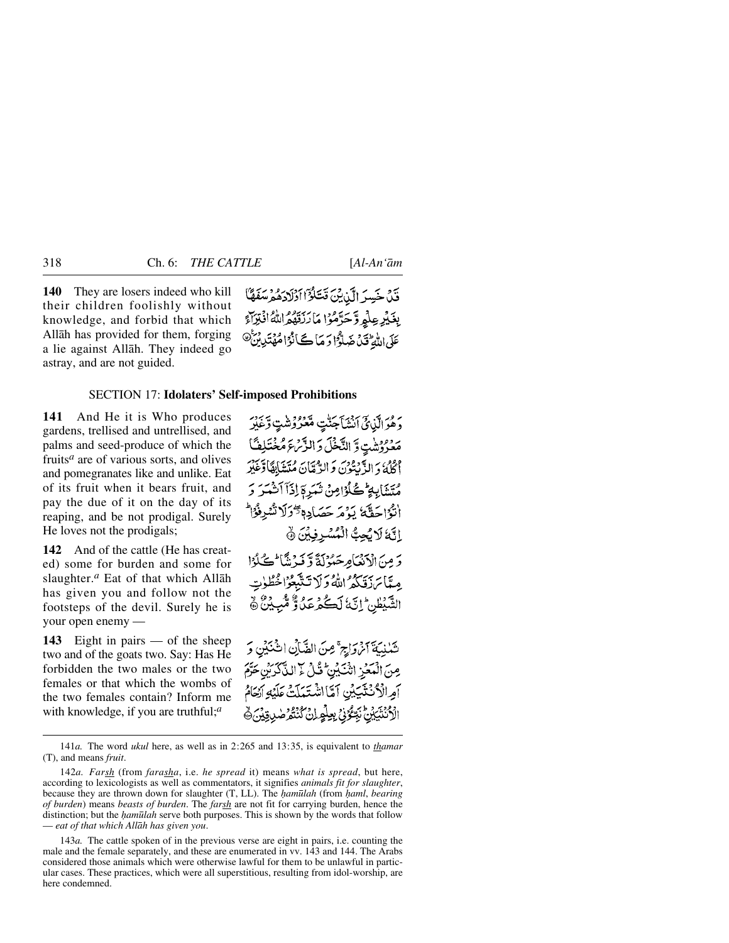**140** They are losers indeed who kill their children foolishly without knowledge, and forbid that which Allåh has provided for them, forging a lie against Allåh. They indeed go astray, and are not guided.

قَدْنَ خَسِرَ الَّذِينَ قَتَلَوُّا أَوْلَادَهُمْ سَفَهَّاً بِغَيْرِ عِلْمٍ وَّحَرَّمُوْا مَا رَنَقَهُمُّ اللَّهُ افْتِرَاءَ عَلَى اللَّهُ تَنْ ضَلَّوْا دَ مَا ڪَأَنُوْاهُهُ تَدِينُ ۖ

#### SECTION 17: **Idolaters' Self-imposed Prohibitions**

**141** And He it is Who produces gardens, trellised and untrellised, and palms and seed-produce of which the fruits*<sup>a</sup>* are of various sorts, and olives and pomegranates like and unlike. Eat of its fruit when it bears fruit, and pay the due of it on the day of its reaping, and be not prodigal. Surely He loves not the prodigals;

**142** And of the cattle (He has created) some for burden and some for slaughter.*<sup>a</sup>* Eat of that which Allåh has given you and follow not the footsteps of the devil. Surely he is your open enemy —

**143** Eight in pairs — of the sheep two and of the goats two. Say: Has He forbidden the two males or the two females or that which the wombs of the two females contain? Inform me with knowledge, if you are truthful;*<sup>a</sup>*

رَهُمْ أَلَمْهِ كَيْنَ جَنَّتِ مَّعْرُوْشَتِ وَعَبْرَ مَعْرُوشَتٍ وَّ النَّخْلَ وَ الزَّمَّءَ مُخْتَلِفًا الكلهُ وَالدَّبِيَّوْنَ وَالدَّمَّانَ مُتَشَابِقَادَتَهُنَّرَ مُتَشَابِهِ ۖ كُوَّامِنْ تَبَرِمَ لِذَآ آَتُنَّسَرَ وَ انْزُاحَقَّةُ يَدْمَرَ حَصَادِهِ دَّكْرَلَا تُسْرِفْوْا إِنَّهُ لَائِحِبُّ الْمُسْرِفِينَ ﴾

وَ مِنَ الْإِنْهَامِهِ حَيْدُلَةً وَ فَيْرَ نَثَا ۖ كَحَلْدُا مِيَّابَرَ بِبَيْهِمُ اللَّهُ وَلَا تَتَّبَعُوْا خُطُوتِ الشَّبْطُنِ إِنَّ لَكُمْ عَلَى وَّ مُّبِيْنٌ ﴾

تَكْذِيَةَ أَنْ وَأَرِجٌ مِنَ الضَّأَنِ انْ يُنَيْنِ وَ مِنَ الْمَعْزِ النَّكِيْنِ ۚ قُلْ لَا الذَّكْرَيْنِ حَرَّمَ أمِرالْأَنْتَتِيبُنِ آمَّا اشْتَعَلَّتْ عَلَيْهِ أَيْحَامُ الْأَنْتَيَيْنَ نَبِّعُوْنَ بِعِلْمِ إِنْ كُنْتُمْ صٰدِيقِيْ ﴾

141*a.* The word *ukul* here, as well as in 2:265 and 13:35, is equivalent to *thamar* (T), and means *fruit*.

<sup>142</sup>*a. Farsh* (from *farasha*, i.e. *he spread* it) means *what is spread*, but here, according to lexicologists as well as commentators, it signifies *animals fit for slaughter*, because they are thrown down for slaughter (T, LL). The *∤amūlah* (from *∤aml*, *bearing of burden*) means *beasts of burden*. The *farsh* are not fit for carrying burden, hence the distinction; but the *hamūlah* serve both purposes. This is shown by the words that follow — *eat of that which Allåh has given you*.

<sup>143</sup>*a.* The cattle spoken of in the previous verse are eight in pairs, i.e. counting the male and the female separately, and these are enumerated in vv. 143 and 144. The Arabs considered those animals which were otherwise lawful for them to be unlawful in particular cases. These practices, which were all superstitious, resulting from idol-worship, are here condemned.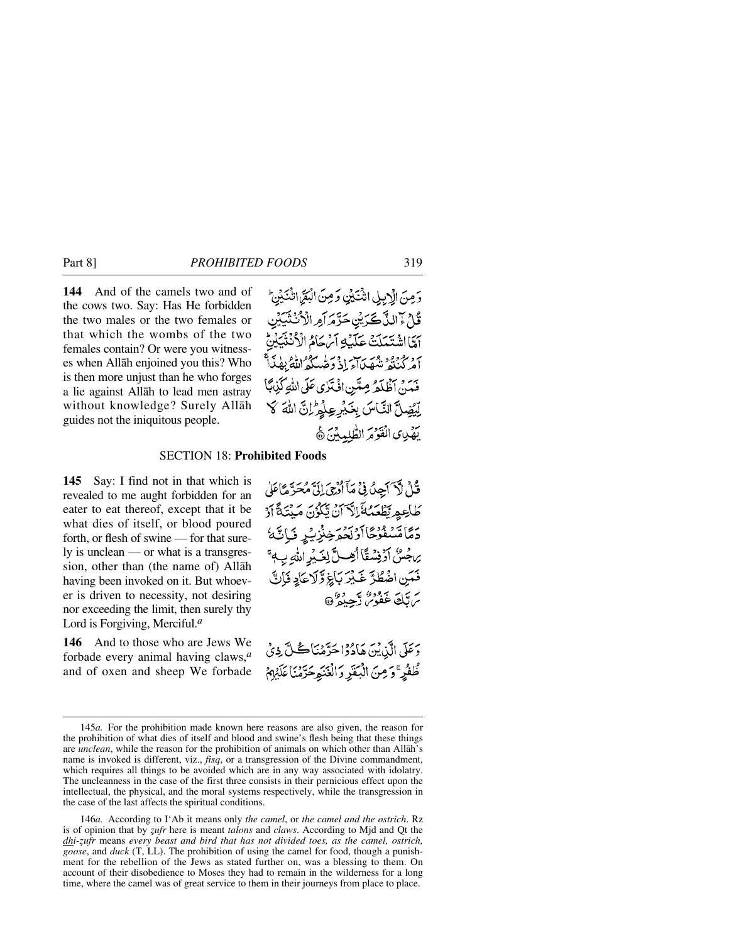**144** And of the camels two and of the cows two. Say: Has He forbidden the two males or the two females or that which the wombs of the two females contain? Or were you witnesses when Allåh enjoined you this? Who is then more unjust than he who forges a lie against Allåh to lead men astray without knowledge? Surely Allåh guides not the iniquitous people.

وَمِنَ الْإِبِلِ انْتَكَيْنِ وَمِنَ الْبَقَرَ انْتَكِيْنِ ۖ ڴڷ<sup>؆</sup>ٳڵڐڲػڒؾؚٛؾػڗٞڡٙڒٲڡۣڔٳڷٲ*ڎڎؾ*ؘڲڹۣ أَمَّا اشْتَعَلَتْ عَلَيْهِ أَيْرِ كَامْ الْأَنْتُنَ أمركننغ شصياء إذ وحهدكه الله بطنيأ فَيَنْ آظْلَةُ مِيَّتِنِ افْتَرْيِ عَلَى اللَّهِ كَذِبَنَا لِّيْضِلَّ النَّاسَ بِغَيْرِعِلْمِ إِنَّ اللَّهَ لَا يَهْدِى الْقَوْمَ الطَّلِيبِينَ ﴾

### SECTION 18: **Prohibited Foods**

**145** Say: I find not in that which is revealed to me aught forbidden for an eater to eat thereof, except that it be what dies of itself, or blood poured forth, or flesh of swine — for that surely is unclean — or what is a transgression, other than (the name of) Allåh having been invoked on it. But whoever is driven to necessity, not desiring nor exceeding the limit, then surely thy Lord is Forgiving, Merciful.*<sup>a</sup>*

**146** And to those who are Jews We forbade every animal having claws,*<sup>a</sup>* and of oxen and sheep We forbade قُلْ لَآ َ آَجِيلُ فِيۡ مَآ أَرْجِيَ إِلَيَّ مُحَدَّ مَاۤ عَلَىٰ ؘڟٳۼڥڔؾڟۼۺػٙٳڸٱ؆ؘڽٛؾڲۯ۬ڹؘڡڮڹؾؘڎٞٳۯ رىماقسفوځاارتحرچنزي<sub>ند</sub> تراتمهٔ ي جُسُّ أَوْفِسْقًا أَهِبْ لِلَّذِيْرِ اللَّهِ بِ ﴾ فَمَنِ اخْتِطَدَّ خَبْرَ بَاَغِ وَلَا عَادِ فَإِنَّ سرتك غفور تسميده في عليه المستخ

دَ عَلَى الَّذِيْنَ هَادُوْاحَرَّمْنَاڪُلَّ ذِيْ طُفُرٍ ۚ وَمِنَ الْبَقَرِ وَالۡفَنَوِحَرَّمۡنَا عَلَيۡهِمۡ

146*a.* According to I'Ab it means only *the camel*, or *the camel and the ostrich*. Rz is of opinion that by *zufr* here is meant *talons* and *claws*. According to Mjd and Qt the *dhi-zufr* means *every beast and bird that has not divided toes, as the camel, ostrich, goose*, and *duck* (T, LL). The prohibition of using the camel for food, though a punishment for the rebellion of the Jews as stated further on, was a blessing to them. On account of their disobedience to Moses they had to remain in the wilderness for a long time, where the camel was of great service to them in their journeys from place to place.

<sup>145</sup>*a.* For the prohibition made known here reasons are also given, the reason for the prohibition of what dies of itself and blood and swine's flesh being that these things are *unclean*, while the reason for the prohibition of animals on which other than Allåh's name is invoked is different, viz., *fisq*, or a transgression of the Divine commandment, which requires all things to be avoided which are in any way associated with idolatry. The uncleanness in the case of the first three consists in their pernicious effect upon the intellectual, the physical, and the moral systems respectively, while the transgression in the case of the last affects the spiritual conditions.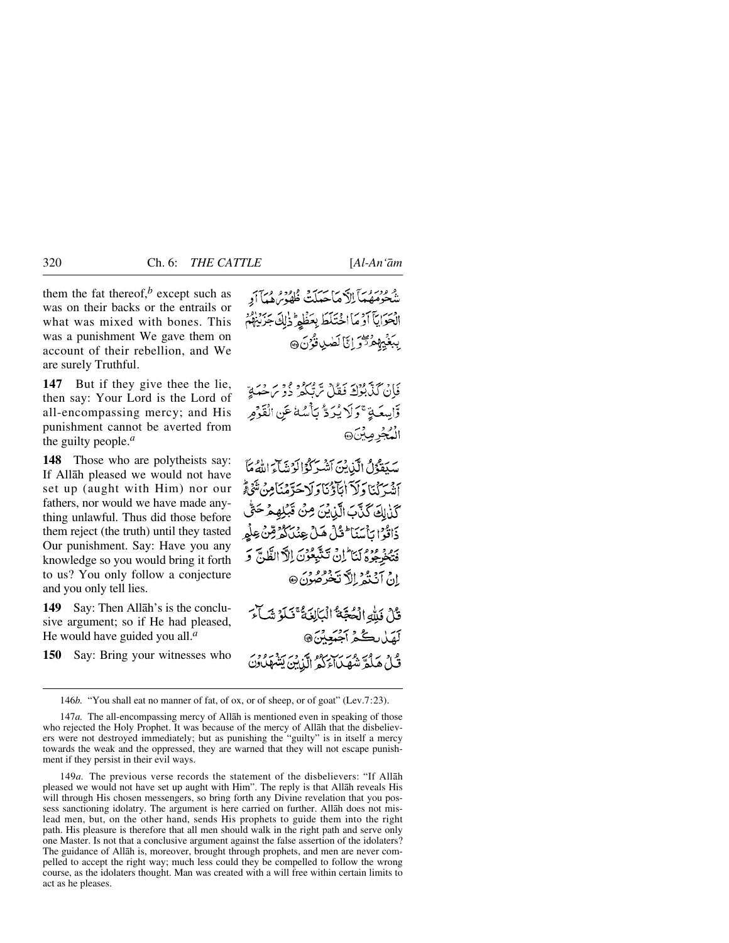them the fat thereof, $<sup>b</sup>$  except such as</sup> was on their backs or the entrails or what was mixed with bones. This was a punishment We gave them on account of their rebellion, and We are surely Truthful.

**147** But if they give thee the lie, then say: Your Lord is the Lord of all-encompassing mercy; and His punishment cannot be averted from the guilty people.*<sup>a</sup>*

**148** Those who are polytheists say: If Allåh pleased we would not have set up (aught with Him) nor our fathers, nor would we have made anything unlawful. Thus did those before them reject (the truth) until they tasted Our punishment. Say: Have you any knowledge so you would bring it forth to us? You only follow a conjecture and you only tell lies.

**149** Say: Then Allåh's is the conclusive argument; so if He had pleased, He would have guided you all.*<sup>a</sup>*

**150** Say: Bring your witnesses who

و دوروس سي سي سيد و ودور دي.<br>شخومهما الاماجيلت ظهور هيأ أو الْحَوَابِيَّا آَوْمَا اخْتَلَطَ بِعَظَمِ ذٰلِكَ جَزَيْنِهُمْ بِبَغْيِهِمْ ثَوْرٍ إِنَّا لَصٰلِ قُوْنَ ۞

فَإِنْ كَذَّبَّوْكَ فَعْلُ سَّيَّكُمْ ذُوْ سَمْحَهَةٍ وَّاسِعَةٍ ۚ وَلَا يُرَدُّ بَأۡسُهٗ عَنِ الْقَوۡمِ الْمُجْرِمِينَ@

بِيَبِيَعْوُلُ الْبَابِينَ آَتَيْبِرَكُوْالْوَتِيَاءَ اللَّهُ مَأْ أِنْهُمْ كَمَنَا وَلَرْ أَنَآؤُنَا وَلَا حَدَّمْنَا مِنْ تَنْهُ قُح كَذٰلِكَ كَذَّبَ الَّيْشِينَ مِنْ قَبْلِهِمْ حَتَّى ذَاتُوْا بِأَسَنَا ۖ قُلْ هَلْ هِنْكُوْرٌ مِّنْ عِلْمٍ فَتَخْرِجُوْهُ لَنَا لِنْ تَتَّبِعُوْنَ إِلَّا الظَّنَّ وَ انْ آنْنْهُ الْأَنْخُرْصُونَ @

قُاْرُ فَلَّهُ الْعُجَّةُ ٱلْمَالِغَةُ ۚ فَبَلَوۡ شَبِأَءَ لَهَلْ بِكُمْ آَجْبَعِيْنَ، و د محمد مرکز مورد از دیر برد د در<br>قبلُ هَلَّهِ شَهْيِباءَ کَهُ الَّذِينَ بِشَهْلُ وَنَ

146*b.* "You shall eat no manner of fat, of ox, or of sheep, or of goat" (Lev.7:23).

149*a.* The previous verse records the statement of the disbelievers: "If Allåh pleased we would not have set up aught with Him". The reply is that Allåh reveals His will through His chosen messengers, so bring forth any Divine revelation that you possess sanctioning idolatry. The argument is here carried on further. Allåh does not mislead men, but, on the other hand, sends His prophets to guide them into the right path. His pleasure is therefore that all men should walk in the right path and serve only one Master. Is not that a conclusive argument against the false assertion of the idolaters? The guidance of Allåh is, moreover, brought through prophets, and men are never compelled to accept the right way; much less could they be compelled to follow the wrong course, as the idolaters thought. Man was created with a will free within certain limits to act as he pleases.

<sup>147</sup>*a.* The all-encompassing mercy of Allåh is mentioned even in speaking of those who rejected the Holy Prophet. It was because of the mercy of Allåh that the disbelievers were not destroyed immediately; but as punishing the "guilty" is in itself a mercy towards the weak and the oppressed, they are warned that they will not escape punishment if they persist in their evil ways.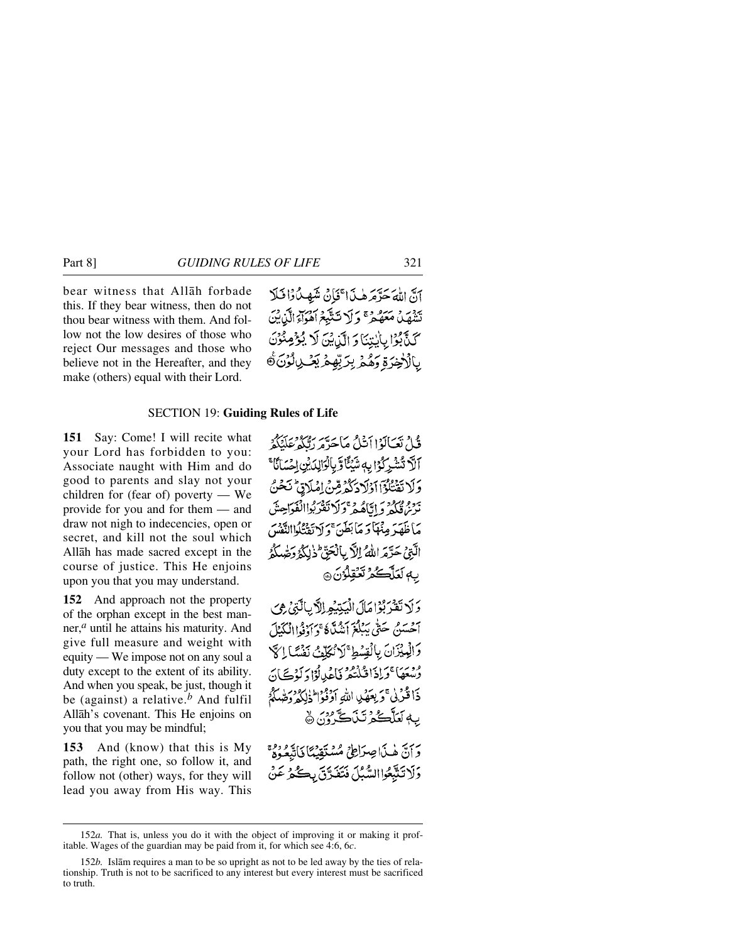bear witness that Allåh forbade this. If they bear witness, then do not thou bear witness with them. And follow not the low desires of those who reject Our messages and those who believe not in the Hereafter, and they make (others) equal with their Lord.

آنَّ اللَّهَ حَدَّمَهُ هٰذَا تَنَانُ شَهِيدًا ذَلَلا تَنْفَصَلُ مَعَهُجٌ \* وَ لَا تَتَلَبَّعُ آهُوَاءَ الَّهْ بَيْنَ كَذَّبُوْا بِأَيْتِنَا وَ الَّذِينَ لَا يُؤْمِنُوْنَ ۑؚٲڷٳڿۯۊؚۄؘۿۮۦڹؚڒؾۨڡۣۭۿؘڲؘۻڸڷۯؗڽۨۜۿ

# SECTION 19: **Guiding Rules of Life**

**151** Say: Come! I will recite what your Lord has forbidden to you: Associate naught with Him and do good to parents and slay not your children for (fear of) poverty — We provide for you and for them — and draw not nigh to indecencies, open or secret, and kill not the soul which Allåh has made sacred except in the course of justice. This He enjoins upon you that you may understand.

**152** And approach not the property of the orphan except in the best manner,*<sup>a</sup>* until he attains his maturity. And give full measure and weight with equity — We impose not on any soul a duty except to the extent of its ability. And when you speak, be just, though it be (against) a relative.*<sup>b</sup>* And fulfil Allåh's covenant. This He enjoins on you that you may be mindful;

**153** And (know) that this is My path, the right one, so follow it, and follow not (other) ways, for they will lead you away from His way. This

قُلْ تَعَالَوْا أَنْكُ مَاحَدَّهِ رَبُّكُمْ عَلَيْكُمْ آلَا تُشْرِكُوْا بِهِ شَيْئًا وَّ بِالْوَالِدَيْنِ إِحْسَانًا ۚ وَلَا تَقْتُلُوْٓا اَوْلَادَكُمْ قِنْ اِمْلَاقِ تَحْنُ ترم فكردع اتاهُ فيهج كرائفتر بُواانْفَوَاحِينَ مَاظَهَدَ مِنْهَا وَ مَا بَطَنَ ۚ وَ لَا تَقْتُلُواالنَّفْسَ الَّتِيْ حَتَّدَ اللَّهُ اللَّا بِالْجَنَّ ۖ ذٰلِكُمُ دَحَّهٰ لَكُمُّ به لَعَلَّكُمُ تَعَقِلُوْنَ ۞

وَلَا تَقْرَبُوْا مَآلَ الْيَتِيْعِ الْآيَالَّتِيْ هِيَ آخسَيْنِ حَتَّى يَبْلُغَ أَيْنُدَّهُ وَ أَوْفَاالْكَيْلَ وَالْمِيْزَانَ بِالْقِسُطِ ۚ لَا تُكَلِّفُ نَفْسًا إِلَى وْتِعْعَا كَرَادْاقْلْتْعْرِ فَإِعْمَالُوْلَوْكَ أَيْ ذَا قُرَبِي ۚ وَ بِعَهۡبِي اللَّهِ أَوۡفَوۡالۡذَٰلِكَ وَصَّلَّهُمۡ بِهٖ لَعَلَّكُمْ تَنَاكَّرُوْنَ ۞

وَأَنَّ هٰذَا صِرَاطِيُ مُسْتَقِيْهًا فَاتَّبِعُوهُمْ وَلَا تَتَّبِعُوا السُّبُلَ فَتَفَدَّقَ بِكُمْ عَنْ

<sup>152</sup>*a.* That is, unless you do it with the object of improving it or making it profitable. Wages of the guardian may be paid from it, for which see 4:6, 6*c*.

<sup>152</sup>*b.* Islåm requires a man to be so upright as not to be led away by the ties of relationship. Truth is not to be sacrificed to any interest but every interest must be sacrificed to truth.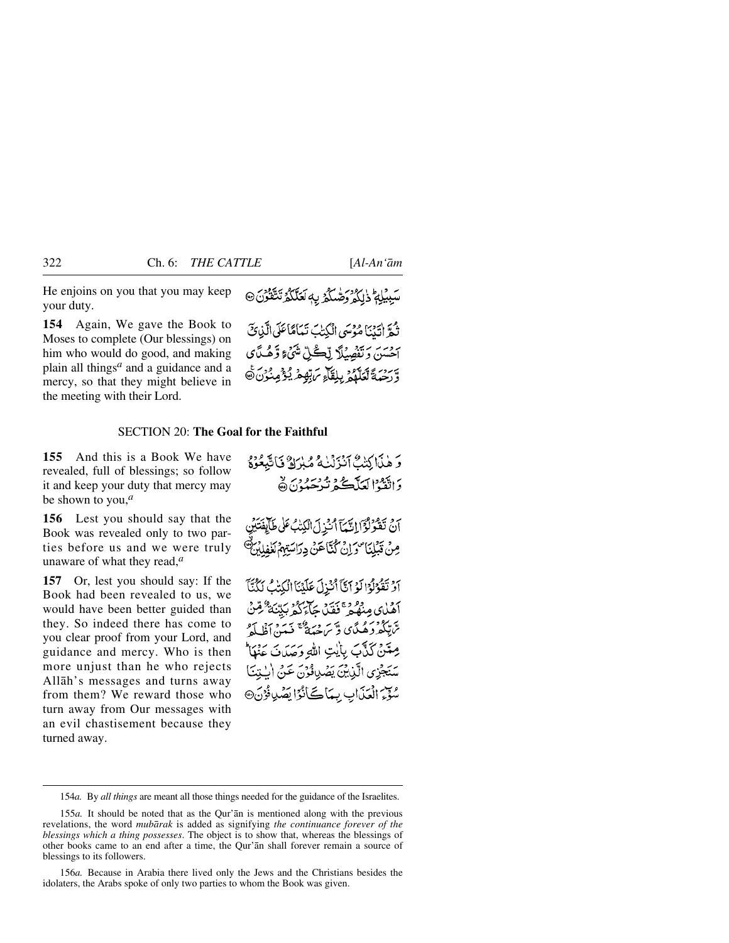He enjoins on you that you may keep your duty.

**154** Again, We gave the Book to Moses to complete (Our blessings) on him who would do good, and making plain all things*<sup>a</sup>* and a guidance and a mercy, so that they might believe in the meeting with their Lord.

سَبِيْلِمُ ذٰلِكُمْ وَصّْلَكُمْ بِهِ يَكْتَلُكُمُّ تَتَّقُونَ

ثُمَّ اٰتَيْنَا مُؤْسَى الْكِتَ نَعَامًاعَلَى الَّذِي َ آحَسَنَ وَتَفْصِيۡلَآ لِّڪُلِّ شَيۡءٍ وَّهُـٰدَّاَى وَّرَحْبَةَ تَعَلَّمُهُ بِلِقَاءِ يَرَبَّهُمْ يُؤْمِنُونَ۞

### SECTION 20: **The Goal for the Faithful**

**155** And this is a Book We have revealed, full of blessings; so follow it and keep your duty that mercy may be shown to you,*<sup>a</sup>*

**156** Lest you should say that the Book was revealed only to two parties before us and we were truly unaware of what they read,*<sup>a</sup>*

**157** Or, lest you should say: If the Book had been revealed to us, we would have been better guided than they. So indeed there has come to you clear proof from your Lord, and guidance and mercy. Who is then more unjust than he who rejects Allåh's messages and turns away from them? We reward those who turn away from Our messages with an evil chastisement because they turned away.

رَ دْيَاكِنْتْ آَنْزَنْنَاءُ مْبْرَادٌ فَاتَّبِعُوْهُ بن يَعْمَدُ العَلَّكَ يُدْهِ دِيرٍ لا

أَنْ تَقْرَلْزَا الَّيْمَآ أُنْزِلَ الْكِتْبُ عَلَىٰ طَآلِفَتَيْنِ مِنْ قَبْلِنَا صَدَانٌ كُنَّاَهَنْ دِرَاسَتِهِمُ لَلْهِ

آَوْ تَقُوْلُوْا لَوْ آتَآ أَنْزِلَ عَلَيْنَا الْكِتْبُ لَكُنَّآ أَهْلِكِ مِنْهُمْ ۚ فَقَيْلُ جَآءَكُمْ بَيِّنَةٌ مِّنْ ترتكروهمدَّي وَسَ حِيدَةً فَيَدَنَ أَظُلَّهُ مِعْنَىٰ كَنَّەبَ بِأَيْتِ اللهِ وَصَدَتَ عَنْهَا سَنَجْزِي الَّذِينَ يَصْدِافُوْنَ عَنْ الْبِيْنَا سُوَّمَ الْعَذَابِ بِيِّمَاكَ انْدًا يَصُّلِ فُرُنَ®

<sup>154</sup>*a.* By *all things* are meant all those things needed for the guidance of the Israelites.

<sup>155</sup>*a.* It should be noted that as the Qur'ån is mentioned along with the previous revelations, the word *mubårak* is added as signifying *the continuance forever of the blessings which a thing possesses*. The object is to show that, whereas the blessings of other books came to an end after a time, the Qur'ån shall forever remain a source of blessings to its followers.

<sup>156</sup>*a.* Because in Arabia there lived only the Jews and the Christians besides the idolaters, the Arabs spoke of only two parties to whom the Book was given.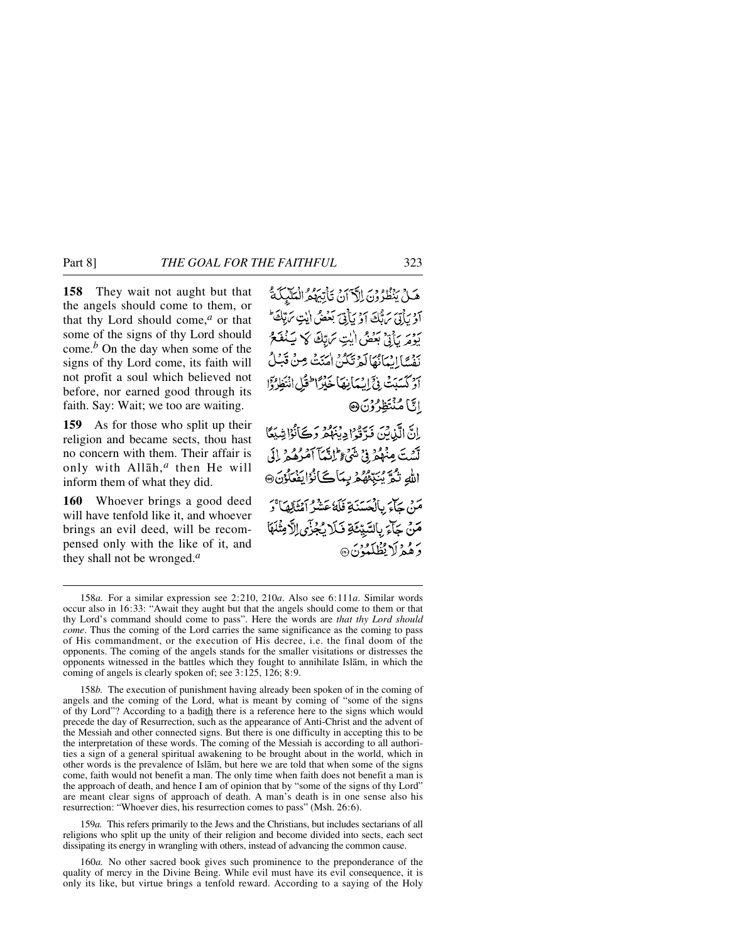**158** They wait not aught but that the angels should come to them, or that thy Lord should come,*<sup>a</sup>* or that some of the signs of thy Lord should come.*<sup>b</sup>* On the day when some of the signs of thy Lord come, its faith will not profit a soul which believed not before, nor earned good through its faith. Say: Wait; we too are waiting.

**159** As for those who split up their religion and became sects, thou hast no concern with them. Their affair is only with Allåh,*<sup>a</sup>* then He will inform them of what they did.

**160** Whoever brings a good deed will have tenfold like it, and whoever brings an evil deed, will be recompensed only with the like of it, and they shall not be wronged.*<sup>a</sup>*

هَـٰلُ يَنْظُرُونَ إِلَّآ أَنْ تَأْتِيْهِمُ الْمَلَّٰئِكَةُ آؤ بِأَنِّي سَيُّكَ آؤُ بِأَنِّيَ بَعْضُ أَيْتِ سَيِّكَ ۖ بَرْدِيرِ بِنَ بِعَضْ أَيْتِ سَاتِكَ كَهَ بَيَنْفَعُ بِنِ الْبِيَانُهَالَمْ تَكُنُّ اٰ مِنَتْ مِنْ قَبَلُ أَوْ كَسَدَتْ فِيَّ إِسْهَانِهَا خَلَزَ اطْفَلِ إِنْتَظَافَوْا الَّ امُنْتَظِرُوْنَ@

إِنَّ الَّذِينَ فَدَّقُوْا دِيْهِكُمْ وَكَأَنُوْا شِيَعًا لَّيْبِتَ مِنْهُمْ فِي شَيْءٍ ۖ تَانَّيْمَآ أَمْرُهُ بِهِ ۚ إِلَى الله نَثُمَّ يُبَبِّئُهُمْ بِمَاكَانُوْايَفْعَلُوْنَ@ مَنْ جَآءَ بِالْعَسَنَةِ فَلَهُ عَشْرُ أَمْثَالِهَا ۚ دَ مَنْ جَآءَ بِالسَّيِّئَةِ فَلَا يُجُزَّى الَّامِثْلَهَا وَهُمْ لَا يُظْلَمُوْنَ۞

158*b.* The execution of punishment having already been spoken of in the coming of angels and the coming of the Lord, what is meant by coming of "some of the signs of thy Lord"? According to a hadith there is a reference here to the signs which would precede the day of Resurrection, such as the appearance of Anti-Christ and the advent of the Messiah and other connected signs. But there is one difficulty in accepting this to be the interpretation of these words. The coming of the Messiah is according to all authorities a sign of a general spiritual awakening to be brought about in the world, which in other words is the prevalence of Islåm, but here we are told that when some of the signs come, faith would not benefit a man. The only time when faith does not benefit a man is the approach of death, and hence I am of opinion that by "some of the signs of thy Lord" are meant clear signs of approach of death. A man's death is in one sense also his resurrection: "Whoever dies, his resurrection comes to pass" (Msh. 26:6).

159*a.* This refers primarily to the Jews and the Christians, but includes sectarians of all religions who split up the unity of their religion and become divided into sects, each sect dissipating its energy in wrangling with others, instead of advancing the common cause.

160*a.* No other sacred book gives such prominence to the preponderance of the quality of mercy in the Divine Being. While evil must have its evil consequence, it is only its like, but virtue brings a tenfold reward. According to a saying of the Holy

<sup>158</sup>*a.* For a similar expression see 2:210, 210*a*. Also see 6:111*a*. Similar words occur also in 16:33: "Await they aught but that the angels should come to them or that thy Lord's command should come to pass". Here the words are *that thy Lord should come*. Thus the coming of the Lord carries the same significance as the coming to pass of His commandment, or the execution of His decree, i.e. the final doom of the opponents. The coming of the angels stands for the smaller visitations or distresses the opponents witnessed in the battles which they fought to annihilate Islåm, in which the coming of angels is clearly spoken of; see 3:125, 126; 8:9.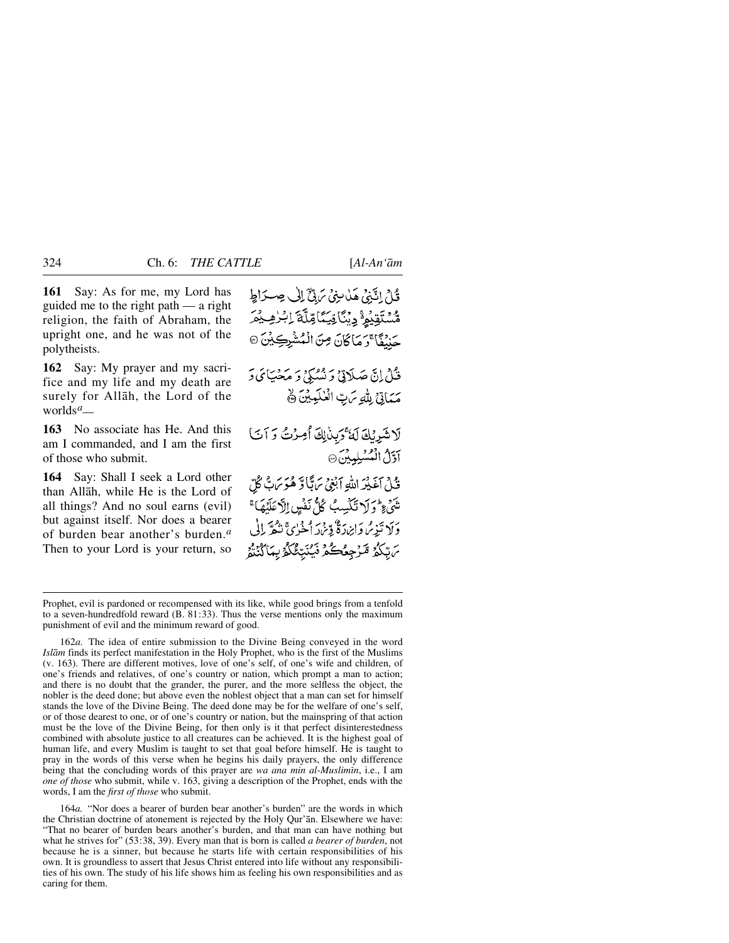**161** Say: As for me, my Lord has guided me to the right path — a right religion, the faith of Abraham, the upright one, and he was not of the polytheists.

**162** Say: My prayer and my sacrifice and my life and my death are surely for Allåh, the Lord of the worlds*<sup>a</sup> —*

**163** No associate has He. And this am I commanded, and I am the first of those who submit.

**164** Say: Shall I seek a Lord other than Allåh, while He is the Lord of all things? And no soul earns (evil) but against itself. Nor does a bearer of burden bear another's burden.*<sup>a</sup>* Then to your Lord is your return, so

قُامُ إِنَّنِيُّ هَذَا مِنِيُّ سَ بِيِّ ٓ إِلَىٰ حِسْدَاطٍ ۄ۠*ۺ*ٙۊؽۄ۠<sub>ؖ؋</sub>ؠۣؽٲۊۑؘؠۜٲڡؚۨڷۜۊؘٳ<sup>ؽ</sup>ڒڡۣ؞ٛ حَنْنُقَا ۚ رَمَا كَانَ مِنَ الْمُشْرِكِيْنَ ۞ فَيْلُ إِنَّ صَلَاتِيٌ وَ نُسُبَكِيُ وَ مَخْبَيَائِي وَ مَمَاتِيٌ لِلَّهِ سَ بِّ الْعٰلَمِيْنَ ﴾ لَاشَرِيْكَ لَهُ كَبِنْ لِكَ أُمِينُكَ وَآتَ آؤَلُ الْمُسْلِمِينَ @ .<br>فَيْ أَغَيْنَهُ اللَّهِ أَبْغِيُّ بِمَاتَّبَا وَّ هُوَ بِمَاتٌ كُلِّ شَىءٍ وَلَا تَكْسِبُ كُلُّ نَفْسٍ إِلَّا عَلَيْهَا ۚ رَبِّ تَذِيْرُ وَائِرَادَةٌ وَّيْرُا أَخْرُىَّ نَتْعَرَّ بِالْي ىَ بِّكُمُّ مَّرْجِعُكُمْ فَيُنَبِّئُكُمُّ بِيَاَكُنْتُهُ

164*a.* "Nor does a bearer of burden bear another's burden" are the words in which the Christian doctrine of atonement is rejected by the Holy Qur'ån. Elsewhere we have: "That no bearer of burden bears another's burden, and that man can have nothing but what he strives for" (53:38, 39). Every man that is born is called *a bearer of burden*, not because he is a sinner, but because he starts life with certain responsibilities of his own. It is groundless to assert that Jesus Christ entered into life without any responsibilities of his own. The study of his life shows him as feeling his own responsibilities and as caring for them.

Prophet, evil is pardoned or recompensed with its like, while good brings from a tenfold to a seven-hundredfold reward (B. 81:33). Thus the verse mentions only the maximum punishment of evil and the minimum reward of good.

<sup>162</sup>*a.* The idea of entire submission to the Divine Being conveyed in the word *Islåm* finds its perfect manifestation in the Holy Prophet, who is the first of the Muslims (v. 163). There are different motives, love of one's self, of one's wife and children, of one's friends and relatives, of one's country or nation, which prompt a man to action; and there is no doubt that the grander, the purer, and the more selfless the object, the nobler is the deed done; but above even the noblest object that a man can set for himself stands the love of the Divine Being. The deed done may be for the welfare of one's self, or of those dearest to one, or of one's country or nation, but the mainspring of that action must be the love of the Divine Being, for then only is it that perfect disinterestedness combined with absolute justice to all creatures can be achieved. It is the highest goal of human life, and every Muslim is taught to set that goal before himself. He is taught to pray in the words of this verse when he begins his daily prayers, the only difference being that the concluding words of this prayer are *wa ana min al-Muslimin*, i.e., I am *one of those* who submit, while v. 163, giving a description of the Prophet, ends with the words, I am the *first of those* who submit.